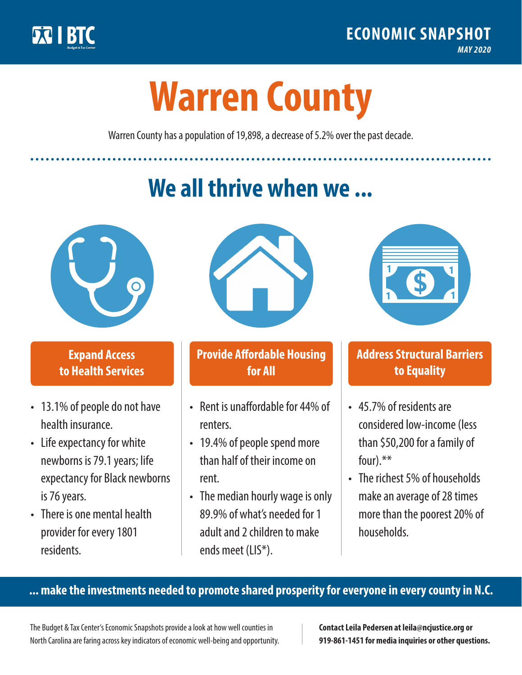

**1**

# **Warren County**

Warren County has a population of 19,898, a decrease of 5.2% over the past decade.

# **We all thrive when we ...**



**\$ <sup>1</sup>**

**\$ <sup>1</sup>**

## **Expand Access to Health Services**

- 13.1% of people do not have health insurance.
- Life expectancy for white newborns is 79.1years; life expectancy for Black newborns is 76 years.
- There is one mental health provider for every 1801 residents.



## **Provide Affordable Housing for All**

- Rent is unaffordable for 44% of renters.
- 19.4% of people spend more than half of their income on rent.
- The median hourly wage is only 89.9% of what's needed for 1 adult and 2 children to make ends meet (LIS\*).



## **Address Structural Barriers to Equality**

- 45.7% of residents are considered low-income (less than \$50,200 for a family of four).\*\*
- The richest 5% of households make an average of 28 times more than the poorest 20% of households.

#### **... make the investments needed to promote shared prosperity for everyone in every county in N.C.**

The Budget & Tax Center's Economic Snapshots provide a look at how well counties in North Carolina are faring across key indicators of economic well-being and opportunity.